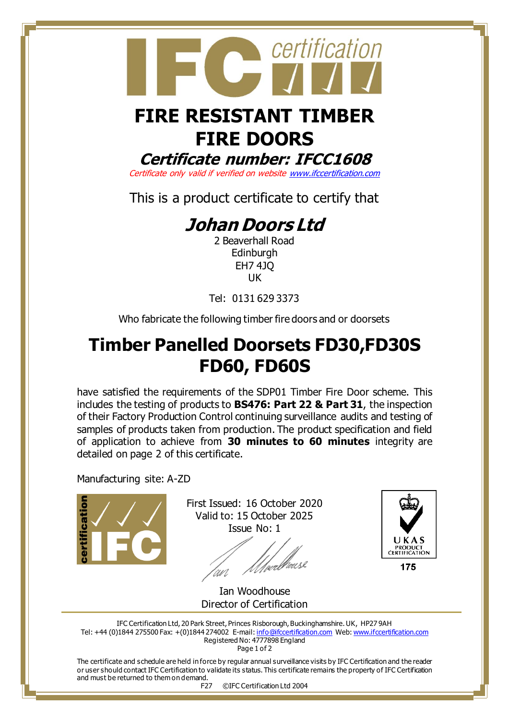

# **FIRE RESISTANT TIMBER FIRE DOORS**

#### **Certificate number: IFCC1608**

Certificate only valid if verified on websit[e www.ifccertification.com](http://www.ifccertification.com/)

This is a product certificate to certify that

## **Johan Doors Ltd**

2 Beaverhall Road Edinburgh EH7 4JQ UK

Tel: 0131 629 3373

Who fabricate the following timber fire doors and or doorsets

## **Timber Panelled Doorsets FD30,FD30S FD60, FD60S**

have satisfied the requirements of the SDP01 Timber Fire Door scheme. This includes the testing of products to **BS476: Part 22 & Part 31**, the inspection of their Factory Production Control continuing surveillance audits and testing of samples of products taken from production. The product specification and field of application to achieve from **30 minutes to 60 minutes** integrity are detailed on page 2 of this certificate.

Manufacturing site: A-ZD



First Issued: 16 October 2020 Valid to: 15 October 2025 Issue No: 1



175

Ian Woodhouse Director of Certification

IFC Certification Ltd, 20 Park Street, Princes Risborough, Buckinghamshire. UK, HP27 9AH Tel: +44 (0)1844 275500 Fax: +(0)1844 274002 E-mail[: info@ifccertification.com](mailto:info@ifccertification.com) Web[: www.ifccertification.com](http://www.ifccertification.com/) Registered No: 4777898 England Page 1 of 2

The certificate and schedule are held in force by regular annual surveillance visits by IFC Certification and the reader or user should contact IFC Certification to validate its status. This certificate remains the property of IFC Certification and must be returned to them on demand.

F27 ©IFC Certification Ltd 2004